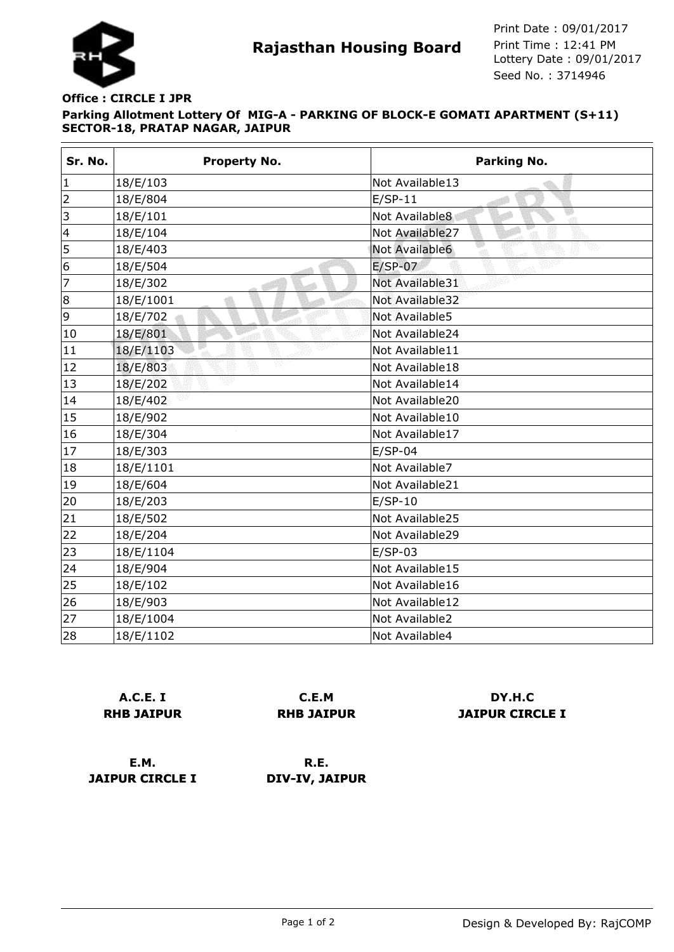

## **Parking Allotment Lottery Of MIG-A - PARKING OF BLOCK-E GOMATI APARTMENT (S+11) SECTOR-18, PRATAP NAGAR, JAIPUR Office : CIRCLE I JPR**

| Sr. No.                 | <b>Property No.</b> | <b>Parking No.</b>     |
|-------------------------|---------------------|------------------------|
| $\vert$ 1               | 18/E/103            | Not Available13        |
| $\overline{2}$          | 18/E/804            | $E/SP-11$              |
| $\vert$ 3               | 18/E/101            | Not Available8<br>-sti |
| $\overline{\mathbf{4}}$ | 18/E/104            | Not Available27        |
| 5                       | 18/E/403            | Not Available6         |
| 6                       | 18/E/504            | $E/SP-07$              |
| 7                       | 18/E/302            | Not Available31        |
| 8                       | 18/E/1001           | Not Available32        |
| 9                       | 18/E/702            | Not Available5         |
| 10                      | 18/E/801            | Not Available24        |
| 11                      | 18/E/1103           | Not Available11        |
| 12                      | v<br>18/E/803       | Not Available18        |
| 13                      | 18/E/202            | Not Available14        |
| 14                      | 18/E/402            | Not Available20        |
| 15                      | 18/E/902            | Not Available10        |
| 16                      | 18/E/304            | Not Available17        |
| 17                      | 18/E/303            | $E/SP-04$              |
| 18                      | 18/E/1101           | Not Available7         |
| 19                      | 18/E/604            | Not Available21        |
| 20                      | 18/E/203            | $E/SP-10$              |
| 21                      | 18/E/502            | Not Available25        |
| $\overline{22}$         | 18/E/204            | Not Available29        |
| 23                      | 18/E/1104           | $E/SP-03$              |
| 24                      | 18/E/904            | Not Available15        |
| 25                      | 18/E/102            | Not Available16        |
| 26                      | 18/E/903            | Not Available12        |
| 27                      | 18/E/1004           | Not Available2         |
| 28                      | 18/E/1102           | Not Available4         |

|                   | A.C.E. I |  |
|-------------------|----------|--|
| <b>RHB JAIPUR</b> |          |  |

**C.E.M RHB JAIPUR**

**DY.H.C JAIPUR CIRCLE I**

**E.M. JAIPUR CIRCLE I**

**R.E. DIV-IV, JAIPUR**